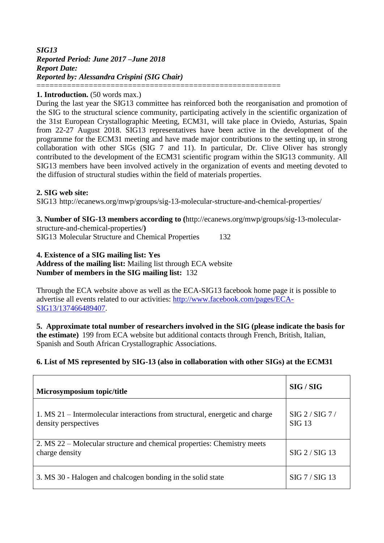# *SIG13 Reported Period: June 2017 –June 2018 Report Date: Reported by: Alessandra Crispini (SIG Chair)* ========================================================

#### **1. Introduction.** (50 words max.)

During the last year the SIG13 committee has reinforced both the reorganisation and promotion of the SIG to the structural science community, participating actively in the scientific organization of the 31st European Crystallographic Meeting, ECM31, will take place in Oviedo, Asturias, Spain from 22-27 August 2018. SIG13 representatives have been active in the development of the programme for the ECM31 meeting and have made major contributions to the setting up, in strong collaboration with other SIGs (SIG 7 and 11). In particular, Dr. Clive Oliver has strongly contributed to the development of the ECM31 scientific program within the SIG13 community. All SIG13 members have been involved actively in the organization of events and meeting devoted to the diffusion of structural studies within the field of materials properties.

#### **2. SIG web site:**

SIG13 http://ecanews.org/mwp/groups/sig-13-molecular-structure-and-chemical-properties/

**3. Number of SIG-13 members according to (**http://ecanews.org/mwp/groups/sig-13-molecularstructure-and-chemical-properties/**)** SIG13 Molecular Structure and Chemical Properties 132

# **4. Existence of a SIG mailing list: Yes**

**Address of the mailing list:** Mailing list through ECA website **Number of members in the SIG mailing list:** 132

Through the ECA website above as well as the ECA-SIG13 facebook home page it is possible to advertise all events related to our activities: [http://www.facebook.com/pages/ECA-](http://www.facebook.com/pages/ECA-SIG13/137466489407)[SIG13/137466489407.](http://www.facebook.com/pages/ECA-SIG13/137466489407)

**5. Approximate total number of researchers involved in the SIG (please indicate the basis for the estimate)** 199 from ECA website but additional contacts through French, British, Italian, Spanish and South African Crystallographic Associations.

# **6. List of MS represented by SIG-13 (also in collaboration with other SIGs) at the ECM31**

| Microsymposium topic/title                                                                           | SIG / SIG                 |
|------------------------------------------------------------------------------------------------------|---------------------------|
| 1. MS 21 – Intermolecular interactions from structural, energetic and charge<br>density perspectives | SIG 2 / SIG 7 /<br>SIG 13 |
| 2. MS 22 – Molecular structure and chemical properties: Chemistry meets<br>charge density            | SIG 2 / SIG 13            |
| 3. MS 30 - Halogen and chalcogen bonding in the solid state                                          | SIG 7 / SIG 13            |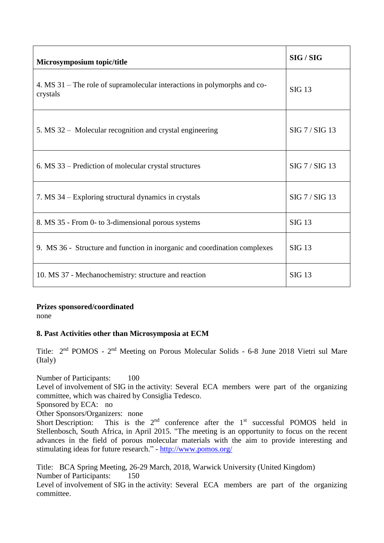| Microsymposium topic/title                                                           | SIG / SIG      |
|--------------------------------------------------------------------------------------|----------------|
| 4. MS 31 – The role of supramolecular interactions in polymorphs and co-<br>crystals | <b>SIG 13</b>  |
| 5. MS 32 – Molecular recognition and crystal engineering                             | SIG 7 / SIG 13 |
| 6. MS 33 – Prediction of molecular crystal structures                                | SIG 7 / SIG 13 |
| 7. MS 34 – Exploring structural dynamics in crystals                                 | SIG 7 / SIG 13 |
| 8. MS 35 - From 0- to 3-dimensional porous systems                                   | <b>SIG 13</b>  |
| 9. MS 36 - Structure and function in inorganic and coordination complexes            | <b>SIG 13</b>  |
| 10. MS 37 - Mechanochemistry: structure and reaction                                 | SIG 13         |

**Prizes sponsored/coordinated**

none

# **8. Past Activities other than Microsymposia at ECM**

Title: 2<sup>nd</sup> POMOS - 2<sup>nd</sup> Meeting on Porous Molecular Solids - 6-8 June 2018 Vietri sul Mare (Italy)

Number of Participants: 100 Level of involvement of SIG in the activity: Several ECA members were part of the organizing committee, which was chaired by Consiglia Tedesco.

Sponsored by ECA: no

Other Sponsors/Organizers: none

Short Description: This is the  $2<sup>nd</sup>$  conference after the  $1<sup>st</sup>$  successful POMOS held in Stellenbosch, South Africa, in April 2015. "The meeting is an opportunity to focus on the recent advances in the field of porous molecular materials with the aim to provide interesting and stimulating ideas for future research." - <http://www.pomos.org/>

Title: BCA Spring Meeting, 26-29 March, 2018, Warwick University (United Kingdom) Number of Participants: 150

Level of involvement of SIG in the activity: Several ECA members are part of the organizing committee.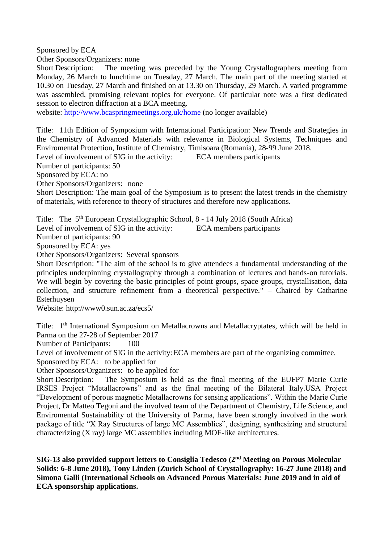Sponsored by ECA

Other Sponsors/Organizers: none

Short Description: The meeting was preceded by the Young Crystallographers meeting from Monday, 26 March to lunchtime on Tuesday, 27 March. The main part of the meeting started at 10.30 on Tuesday, 27 March and finished on at 13.30 on Thursday, 29 March. A varied programme was assembled, promising relevant topics for everyone. Of particular note was a first dedicated session to electron diffraction at a BCA meeting.

website:<http://www.bcaspringmeetings.org.uk/home> (no longer available)

Title: 11th Edition of Symposium with International Participation: New Trends and Strategies in the Chemistry of Advanced Materials with relevance in Biological Systems, Techniques and Enviromental Protection, Institute of Chemistry, Timisoara (Romania), 28-99 June 2018.

Level of involvement of SIG in the activity: ECA members participants

Number of participants: 50

Sponsored by ECA: no

Other Sponsors/Organizers: none

Short Description: The main goal of the Symposium is to present the latest trends in the chemistry of materials, with reference to theory of structures and therefore new applications.

Title: The 5<sup>th</sup> European Crystallographic School, 8 - 14 July 2018 (South Africa)

Level of involvement of SIG in the activity: ECA members participants

Number of participants: 90

Sponsored by ECA: yes

Other Sponsors/Organizers: Several sponsors

Short Description: "The aim of the school is to give attendees a fundamental understanding of the principles underpinning crystallography through a combination of lectures and hands-on tutorials. We will begin by covering the basic principles of point groups, space groups, crystallisation, data collection, and structure refinement from a theoretical perspective." – Chaired by Catharine Esterhuysen

Website: http://www0.sun.ac.za/ecs5/

Title: 1<sup>th</sup> International Symposium on Metallacrowns and Metallacryptates, which will be held in Parma on the 27-28 of September 2017

Number of Participants: 100

Level of involvement of SIG in the activity: ECA members are part of the organizing committee.

Sponsored by ECA: to be applied for

Other Sponsors/Organizers: to be applied for

Short Description: The Symposium is held as the final meeting of the EUFP7 Marie Curie IRSES Project "Metallacrowns" and as the final meeting of the Bilateral Italy.USA Project "Development of porous magnetic Metallacrowns for sensing applications". Within the Marie Curie Project, Dr Matteo Tegoni and the involved team of the Department of Chemistry, Life Science, and Enviromental Sustainability of the University of Parma, have been strongly involved in the work package of title "X Ray Structures of large MC Assemblies", designing, synthesizing and structural characterizing (X ray) large MC assemblies including MOF-like architectures.

**SIG-13 also provided support letters to Consiglia Tedesco (2 nd Meeting on Porous Molecular Solids: 6-8 June 2018), Tony Linden (Zurich School of Crystallography: 16-27 June 2018) and Simona Galli (International Schools on Advanced Porous Materials: June 2019 and in aid of ECA sponsorship applications.**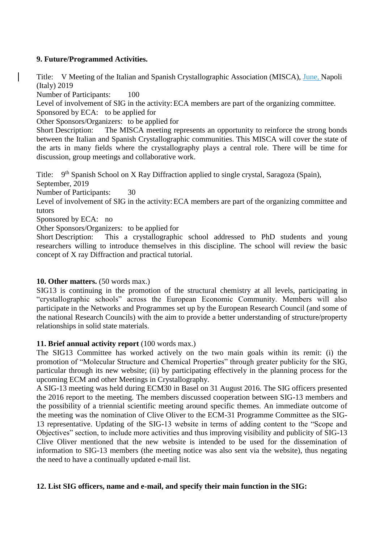# **9. Future/Programmed Activities.**

Title: V Meeting of the Italian and Spanish Crystallographic Association (MISCA), June, Napoli (Italy) 2019

Number of Participants: 100

Level of involvement of SIG in the activity: ECA members are part of the organizing committee.

Sponsored by ECA: to be applied for

Other Sponsors/Organizers: to be applied for

Short Description: The MISCA meeting represents an opportunity to reinforce the strong bonds between the Italian and Spanish Crystallographic communities. This MISCA will cover the state of the arts in many fields where the crystallography plays a central role. There will be time for discussion, group meetings and collaborative work.

Title: 9<sup>th</sup> Spanish School on X Ray Diffraction applied to single crystal, Saragoza (Spain), September, 2019

Number of Participants: 30

Level of involvement of SIG in the activity: ECA members are part of the organizing committee and tutors

Sponsored by ECA: no

Other Sponsors/Organizers: to be applied for

Short Description: This a crystallographic school addressed to PhD students and young researchers willing to introduce themselves in this discipline. The school will review the basic concept of X ray Diffraction and practical tutorial.

# **10. Other matters.** (50 words max.)

SIG13 is continuing in the promotion of the structural chemistry at all levels, participating in "crystallographic schools" across the European Economic Community. Members will also participate in the Networks and Programmes set up by the European Research Council (and some of the national Research Councils) with the aim to provide a better understanding of structure/property relationships in solid state materials.

#### **11. Brief annual activity report** (100 words max.)

The SIG13 Committee has worked actively on the two main goals within its remit: (i) the promotion of "Molecular Structure and Chemical Properties" through greater publicity for the SIG, particular through its new website; (ii) by participating effectively in the planning process for the upcoming ECM and other Meetings in Crystallography.

A SIG-13 meeting was held during ECM30 in Basel on 31 August 2016. The SIG officers presented the 2016 report to the meeting. The members discussed cooperation between SIG-13 members and the possibility of a triennial scientific meeting around specific themes. An immediate outcome of the meeting was the nomination of Clive Oliver to the ECM-31 Programme Committee as the SIG-13 representative. Updating of the SIG-13 website in terms of adding content to the "Scope and Objectives" section, to include more activities and thus improving visibility and publicity of SIG-13 Clive Oliver mentioned that the new website is intended to be used for the dissemination of information to SIG-13 members (the meeting notice was also sent via the website), thus negating the need to have a continually updated e-mail list.

#### **12. List SIG officers, name and e-mail, and specify their main function in the SIG:**